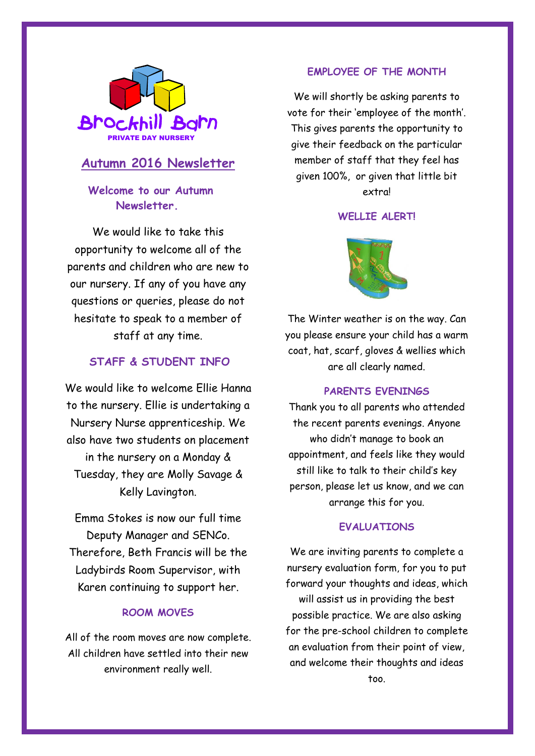

# **Autumn 2016 Newsletter**

## **Welcome to our Autumn Newsletter.**

We would like to take this opportunity to welcome all of the parents and children who are new to our nursery. If any of you have any questions or queries, please do not hesitate to speak to a member of staff at any time.

### **STAFF & STUDENT INFO**

We would like to welcome Ellie Hanna to the nursery. Ellie is undertaking a Nursery Nurse apprenticeship. We also have two students on placement in the nursery on a Monday & Tuesday, they are Molly Savage & Kelly Lavington.

Emma Stokes is now our full time Deputy Manager and SENCo. Therefore, Beth Francis will be the Ladybirds Room Supervisor, with Karen continuing to support her.

#### **ROOM MOVES**

All of the room moves are now complete. All children have settled into their new environment really well.

#### **EMPLOYEE OF THE MONTH**

We will shortly be asking parents to vote for their 'employee of the month'. This gives parents the opportunity to give their feedback on the particular member of staff that they feel has given 100%, or given that little bit extra!

#### WFLLIF ALFRT!



The Winter weather is on the way. Can you please ensure your child has a warm coat, hat, scarf, gloves & wellies which are all clearly named.

#### **PARENTS EVENINGS**

Thank you to all parents who attended the recent parents evenings. Anyone who didn't manage to book an appointment, and feels like they would still like to talk to their child's key person, please let us know, and we can arrange this for you.

#### **EVALUATIONS**

We are inviting parents to complete a nursery evaluation form, for you to put forward your thoughts and ideas, which will assist us in providing the best possible practice. We are also asking for the pre-school children to complete an evaluation from their point of view, and welcome their thoughts and ideas too.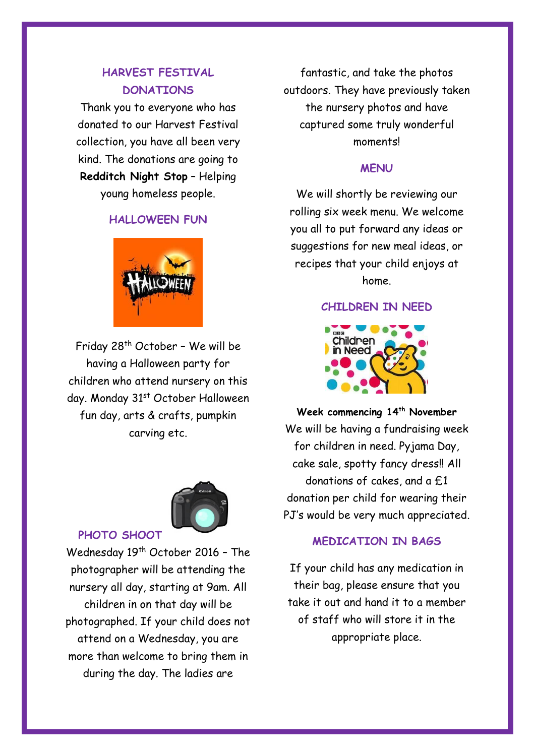### **HARVEST FESTIVAL DONATIONS**

Thank you to everyone who has donated to our Harvest Festival collection, you have all been very kind. The donations are going to **Redditch Night Stop** – Helping young homeless people.

### **HALLOWEEN FUN**



Friday 28th October – We will be having a Halloween party for children who attend nursery on this day. Monday 31<sup>st</sup> October Halloween fun day, arts & crafts, pumpkin carving etc.



**PHOTO SHOOT**

Wednesday 19<sup>th</sup> October 2016 - The photographer will be attending the nursery all day, starting at 9am. All children in on that day will be photographed. If your child does not attend on a Wednesday, you are more than welcome to bring them in during the day. The ladies are

fantastic, and take the photos outdoors. They have previously taken the nursery photos and have captured some truly wonderful moments!

### **MENU**

We will shortly be reviewing our rolling six week menu. We welcome you all to put forward any ideas or suggestions for new meal ideas, or recipes that your child enjoys at home.

#### **CHILDREN IN NEED**



**Week commencing 14th November**  We will be having a fundraising week for children in need. Pyjama Day, cake sale, spotty fancy dress!! All donations of cakes, and a £1 donation per child for wearing their PJ's would be very much appreciated.

### **MEDICATION IN BAGS**

If your child has any medication in their bag, please ensure that you take it out and hand it to a member of staff who will store it in the appropriate place.